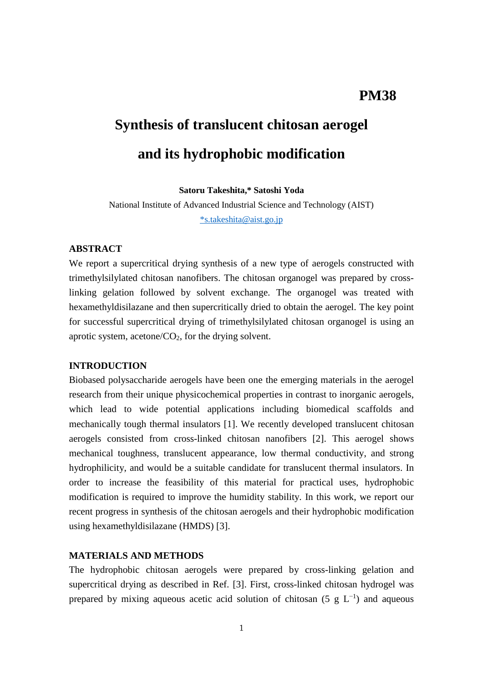# **PM38**

# **Synthesis of translucent chitosan aerogel and its hydrophobic modification**

**Satoru Takeshita,\* Satoshi Yoda**

National Institute of Advanced Industrial Science and Technology (AIST) [\\*s.takeshita@aist.go.jp](mailto:*s.takeshita@aist.go.jp)

#### **ABSTRACT**

We report a supercritical drying synthesis of a new type of aerogels constructed with trimethylsilylated chitosan nanofibers. The chitosan organogel was prepared by crosslinking gelation followed by solvent exchange. The organogel was treated with hexamethyldisilazane and then supercritically dried to obtain the aerogel. The key point for successful supercritical drying of trimethylsilylated chitosan organogel is using an aprotic system, acetone/ $CO<sub>2</sub>$ , for the drying solvent.

## **INTRODUCTION**

Biobased polysaccharide aerogels have been one the emerging materials in the aerogel research from their unique physicochemical properties in contrast to inorganic aerogels, which lead to wide potential applications including biomedical scaffolds and mechanically tough thermal insulators [1]. We recently developed translucent chitosan aerogels consisted from cross-linked chitosan nanofibers [2]. This aerogel shows mechanical toughness, translucent appearance, low thermal conductivity, and strong hydrophilicity, and would be a suitable candidate for translucent thermal insulators. In order to increase the feasibility of this material for practical uses, hydrophobic modification is required to improve the humidity stability. In this work, we report our recent progress in synthesis of the chitosan aerogels and their hydrophobic modification using hexamethyldisilazane (HMDS) [3].

# **MATERIALS AND METHODS**

The hydrophobic chitosan aerogels were prepared by cross-linking gelation and supercritical drying as described in Ref. [3]. First, cross-linked chitosan hydrogel was prepared by mixing aqueous acetic acid solution of chitosan (5  $g L^{-1}$ ) and aqueous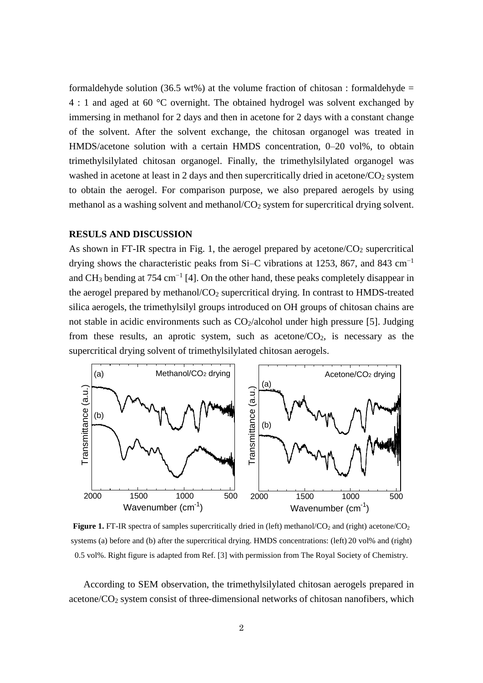formaldehyde solution (36.5 wt%) at the volume fraction of chitosan : formaldehyde = 4 : 1 and aged at 60 °C overnight. The obtained hydrogel was solvent exchanged by immersing in methanol for 2 days and then in acetone for 2 days with a constant change of the solvent. After the solvent exchange, the chitosan organogel was treated in HMDS/acetone solution with a certain HMDS concentration, 0–20 vol%, to obtain trimethylsilylated chitosan organogel. Finally, the trimethylsilylated organogel was washed in acetone at least in 2 days and then supercritically dried in acetone/ $CO<sub>2</sub>$  system to obtain the aerogel. For comparison purpose, we also prepared aerogels by using methanol as a washing solvent and methanol/ $CO<sub>2</sub>$  system for supercritical drying solvent.

#### **RESULS AND DISCUSSION**

As shown in FT-IR spectra in Fig. 1, the aerogel prepared by acetone/ $CO<sub>2</sub>$  supercritical drying shows the characteristic peaks from Si–C vibrations at 1253, 867, and 843 cm<sup>-1</sup> and CH<sub>3</sub> bending at 754 cm<sup>-1</sup> [4]. On the other hand, these peaks completely disappear in the aerogel prepared by methanol/CO<sub>2</sub> supercritical drying. In contrast to HMDS-treated silica aerogels, the trimethylsilyl groups introduced on OH groups of chitosan chains are not stable in acidic environments such as  $CO<sub>2</sub>/alcohol$  under high pressure [5]. Judging from these results, an aprotic system, such as acetone/ $CO<sub>2</sub>$ , is necessary as the supercritical drying solvent of trimethylsilylated chitosan aerogels.



Figure 1. FT-IR spectra of samples supercritically dried in (left) methanol/CO<sub>2</sub> and (right) acetone/CO<sub>2</sub> systems (a) before and (b) after the supercritical drying. HMDS concentrations: (left) 20 vol% and (right) 0.5 vol%. Right figure is adapted from Ref. [3] with permission from The Royal Society of Chemistry.

According to SEM observation, the trimethylsilylated chitosan aerogels prepared in acetone/CO<sub>2</sub> system consist of three-dimensional networks of chitosan nanofibers, which